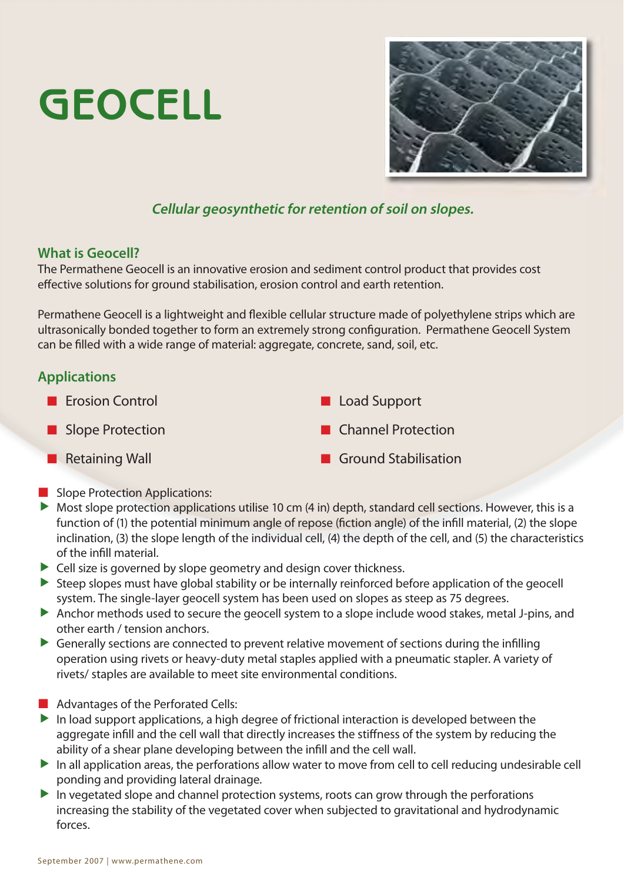# **GEOCELL**



## **Cellular geosynthetic for retention of soil on slopes.**

#### **What is Geocell?**

The Permathene Geocell is an innovative erosion and sediment control product that provides cost effective solutions for ground stabilisation, erosion control and earth retention.

Permathene Geocell is a lightweight and flexible cellular structure made of polyethylene strips which are ultrasonically bonded together to form an extremely strong configuration. Permathene Geocell System can be filled with a wide range of material: aggregate, concrete, sand, soil, etc.

## **Applications**

- **Exercise Exercise Support** Exercise Support Exercise Support Slope Protection **Channel Protection Retaining Wall <b>Ground Stabilisation**
- Slope Protection Applications:
- $\triangleright$  Most slope protection applications utilise 10 cm (4 in) depth, standard cell sections. However, this is a function of (1) the potential minimum angle of repose (fiction angle) of the infill material, (2) the slope inclination, (3) the slope length of the individual cell, (4) the depth of the cell, and (5) the characteristics of the infill material.
- $\blacktriangleright$  Cell size is governed by slope geometry and design cover thickness.
- $\triangleright$  Steep slopes must have global stability or be internally reinforced before application of the geocell system. The single-layer geocell system has been used on slopes as steep as 75 degrees.
- $\blacktriangleright$  Anchor methods used to secure the geocell system to a slope include wood stakes, metal J-pins, and other earth / tension anchors.
- $\triangleright$  Generally sections are connected to prevent relative movement of sections during the infilling operation using rivets or heavy-duty metal staples applied with a pneumatic stapler. A variety of rivets/ staples are available to meet site environmental conditions.
- **Advantages of the Perforated Cells:**
- $\blacktriangleright$  In load support applications, a high degree of frictional interaction is developed between the aggregate infill and the cell wall that directly increases the stiffness of the system by reducing the ability of a shear plane developing between the infill and the cell wall.
- $\blacktriangleright$  In all application areas, the perforations allow water to move from cell to cell reducing undesirable cell ponding and providing lateral drainage.
- $\blacktriangleright$  In vegetated slope and channel protection systems, roots can grow through the perforations increasing the stability of the vegetated cover when subjected to gravitational and hydrodynamic forces.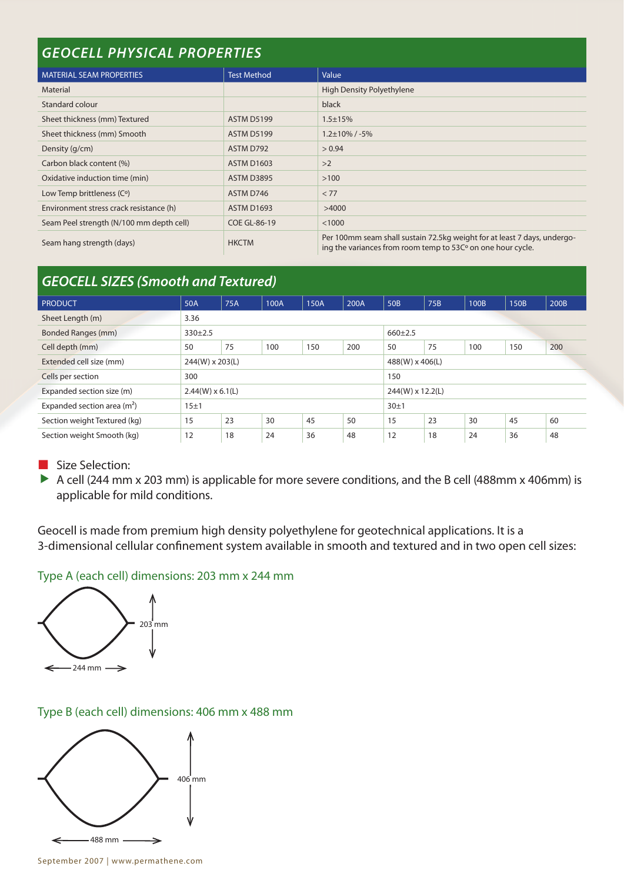| <b>GEOCELL PHYSICAL PROPERTIES</b>       |                     |                                                                                                                                         |  |  |  |  |  |  |
|------------------------------------------|---------------------|-----------------------------------------------------------------------------------------------------------------------------------------|--|--|--|--|--|--|
| <b>MATERIAL SEAM PROPERTIES</b>          | <b>Test Method</b>  | Value                                                                                                                                   |  |  |  |  |  |  |
| Material                                 |                     | High Density Polyethylene                                                                                                               |  |  |  |  |  |  |
| Standard colour                          |                     | black                                                                                                                                   |  |  |  |  |  |  |
| Sheet thickness (mm) Textured            | <b>ASTM D5199</b>   | $1.5 \pm 15%$                                                                                                                           |  |  |  |  |  |  |
| Sheet thickness (mm) Smooth              | <b>ASTM D5199</b>   | $1.2\pm10\%$ / -5%                                                                                                                      |  |  |  |  |  |  |
| Density (g/cm)                           | ASTM D792           | > 0.94                                                                                                                                  |  |  |  |  |  |  |
| Carbon black content (%)                 | <b>ASTM D1603</b>   | >2                                                                                                                                      |  |  |  |  |  |  |
| Oxidative induction time (min)           | <b>ASTM D3895</b>   | >100                                                                                                                                    |  |  |  |  |  |  |
| Low Temp brittleness (C°)                | ASTM D746           | < 77                                                                                                                                    |  |  |  |  |  |  |
| Environment stress crack resistance (h)  | <b>ASTM D1693</b>   | >4000                                                                                                                                   |  |  |  |  |  |  |
| Seam Peel strength (N/100 mm depth cell) | <b>COE GL-86-19</b> | < 1000                                                                                                                                  |  |  |  |  |  |  |
| Seam hang strength (days)                | <b>HKCTM</b>        | Per 100mm seam shall sustain 72.5kg weight for at least 7 days, undergo-<br>ing the variances from room temp to 53C° on one hour cycle. |  |  |  |  |  |  |

# *GEOCELL SIZES (Smooth and Textured)*

| <b>PRODUCT</b>               | 50A                     | 75A | 100A | 150A | 200A | 50B              | 75B | 100B | 150B | 200B |
|------------------------------|-------------------------|-----|------|------|------|------------------|-----|------|------|------|
| Sheet Length (m)             | 3.36                    |     |      |      |      |                  |     |      |      |      |
| <b>Bonded Ranges (mm)</b>    | $330 \pm 2.5$           |     |      |      |      | $660+2.5$        |     |      |      |      |
| Cell depth (mm)              | 50                      | 75  | 100  | 150  | 200  | 50               | 75  | 100  | 150  | 200  |
| Extended cell size (mm)      | 244(W) x 203(L)         |     |      |      |      | 488(W) x 406(L)  |     |      |      |      |
| Cells per section            | 300                     |     |      |      |      | 150              |     |      |      |      |
| Expanded section size (m)    | $2.44(W) \times 6.1(L)$ |     |      |      |      | 244(W) x 12.2(L) |     |      |      |      |
| Expanded section area $(m2)$ | 15±1                    |     |      |      |      | 30±1             |     |      |      |      |
| Section weight Textured (kg) | 15                      | 23  | 30   | 45   | 50   | 15               | 23  | 30   | 45   | 60   |
| Section weight Smooth (kg)   | 12                      | 18  | 24   | 36   | 48   | 12               | 18  | 24   | 36   | 48   |

Size Selection:

A cell (244 mm x 203 mm) is applicable for more severe conditions, and the B cell (488mm x 406mm) is applicable for mild conditions.

Geocell is made from premium high density polyethylene for geotechnical applications. It is a 3-dimensional cellular confinement system available in smooth and textured and in two open cell sizes:

#### Type A (each cell) dimensions: 203 mm x 244 mm



## Type B (each cell) dimensions: 406 mm x 488 mm